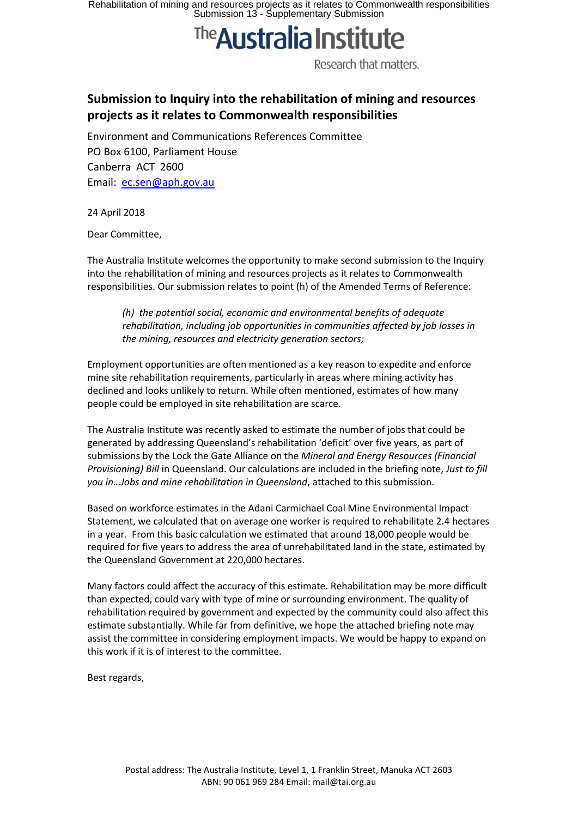Rehabilitation of mining and resources projects as it relates to Commonwealth responsibilities<br>Submission 13 - Supplementary Submission

# <sup>The</sup> Australia Institute

Research that matters.

#### **Submission to Inquiry into the rehabilitation of mining and resources projects as it relates to Commonwealth responsibilities**

Environment and Communications References Committee PO Box 6100, Parliament House Canberra ACT 2600 Email: [ec.sen@aph.gov.au](mailto:ec.sen@aph.gov.au) 

24 April 2018

Dear Committee,

The Australia Institute welcomes the opportunity to make second submission to the Inquiry into the rehabilitation of mining and resources projects as it relates to Commonwealth responsibilities. Our submission relates to point (h) of the Amended Terms of Reference:

*(h) the potential social, economic and environmental benefits of adequate rehabilitation, including job opportunities in communities affected by job losses in the mining, resources and electricity generation sectors;* 

Employment opportunities are often mentioned as a key reason to expedite and enforce mine site rehabilitation requirements, particularly in areas where mining activity has declined and looks unlikely to return. While often mentioned, estimates of how many people could be employed in site rehabilitation are scarce.

The Australia Institute was recently asked to estimate the number of jobs that could be generated by addressing Queensland's rehabilitation 'deficit' over five years, as part of submissions by the Lock the Gate Alliance on the *Mineral and Energy Resources (Financial Provisioning) Bill* in Queensland. Our calculations are included in the briefing note, *Just to fill you in…Jobs and mine rehabilitation in Queensland*, attached to this submission.

Based on workforce estimates in the Adani Carmichael Coal Mine Environmental Impact Statement, we calculated that on average one worker is required to rehabilitate 2.4 hectares in a year. From this basic calculation we estimated that around 18,000 people would be required for five years to address the area of unrehabilitated land in the state, estimated by the Queensland Government at 220,000 hectares.

Many factors could affect the accuracy of this estimate. Rehabilitation may be more difficult than expected, could vary with type of mine or surrounding environment. The quality of rehabilitation required by government and expected by the community could also affect this estimate substantially. While far from definitive, we hope the attached briefing note may assist the committee in considering employment impacts. We would be happy to expand on this work if it is of interest to the committee.

Best regards,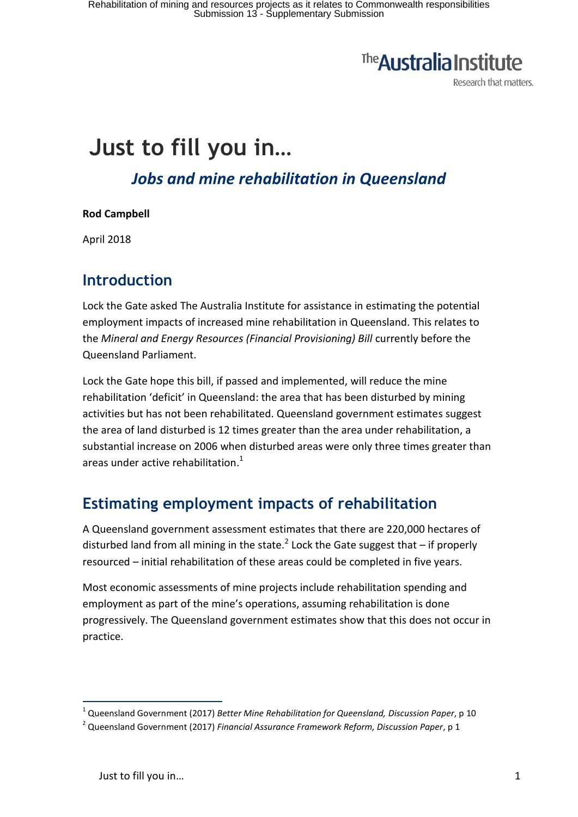

Research that matters.

## **Just to fill you in…**

*Jobs and mine rehabilitation in Queensland*

**Rod Campbell**

April 2018

### **Introduction**

Lock the Gate asked The Australia Institute for assistance in estimating the potential employment impacts of increased mine rehabilitation in Queensland. This relates to the *Mineral and Energy Resources (Financial Provisioning) Bill* currently before the Queensland Parliament.

Lock the Gate hope this bill, if passed and implemented, will reduce the mine rehabilitation 'deficit' in Queensland: the area that has been disturbed by mining activities but has not been rehabilitated. Queensland government estimates suggest the area of land disturbed is 12 times greater than the area under rehabilitation, a substantial increase on 2006 when disturbed areas were only three times greater than areas under active rehabilitation. $1$ 

### **Estimating employment impacts of rehabilitation**

A Queensland government assessment estimates that there are 220,000 hectares of disturbed land from all mining in the state.<sup>2</sup> Lock the Gate suggest that  $-$  if properly resourced – initial rehabilitation of these areas could be completed in five years.

Most economic assessments of mine projects include rehabilitation spending and employment as part of the mine's operations, assuming rehabilitation is done progressively. The Queensland government estimates show that this does not occur in practice.

1

<sup>1</sup> Queensland Government (2017) *Better Mine Rehabilitation for Queensland, Discussion Paper*, p 10

<sup>2</sup> Queensland Government (2017) *Financial Assurance Framework Reform, Discussion Paper*, p 1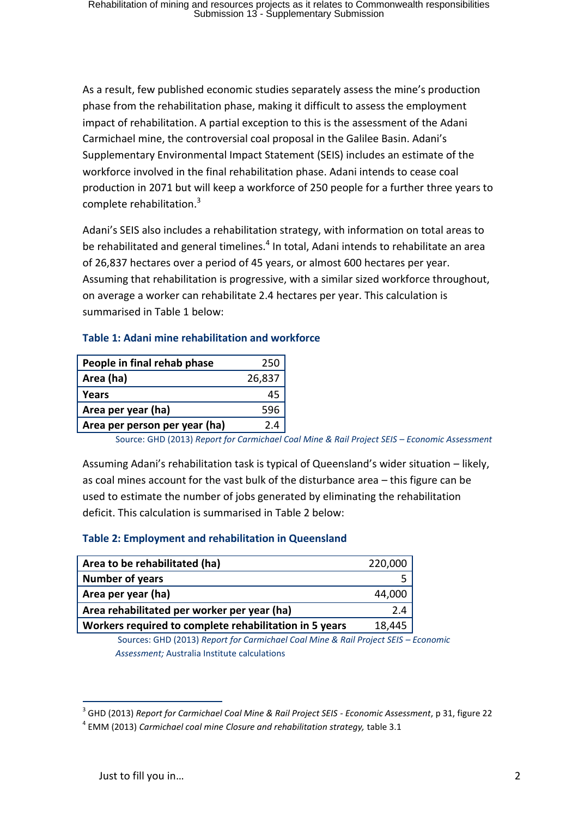As a result, few published economic studies separately assess the mine's production phase from the rehabilitation phase, making it difficult to assess the employment impact of rehabilitation. A partial exception to this is the assessment of the Adani Carmichael mine, the controversial coal proposal in the Galilee Basin. Adani's Supplementary Environmental Impact Statement (SEIS) includes an estimate of the workforce involved in the final rehabilitation phase. Adani intends to cease coal production in 2071 but will keep a workforce of 250 people for a further three years to complete rehabilitation.<sup>3</sup>

Adani's SEIS also includes a rehabilitation strategy, with information on total areas to be rehabilitated and general timelines. $<sup>4</sup>$  In total, Adani intends to rehabilitate an area</sup> of 26,837 hectares over a period of 45 years, or almost 600 hectares per year. Assuming that rehabilitation is progressive, with a similar sized workforce throughout, on average a worker can rehabilitate 2.4 hectares per year. This calculation is summarised in Table 1 below:

#### **Table 1: Adani mine rehabilitation and workforce**

| People in final rehab phase   | 250    |
|-------------------------------|--------|
| Area (ha)                     | 26,837 |
| Years                         | 45     |
| Area per year (ha)            | 596    |
| Area per person per year (ha) | 24     |

Source: GHD (2013) *Report for Carmichael Coal Mine & Rail Project SEIS – Economic Assessment*

Assuming Adani's rehabilitation task is typical of Queensland's wider situation – likely, as coal mines account for the vast bulk of the disturbance area – this figure can be used to estimate the number of jobs generated by eliminating the rehabilitation deficit. This calculation is summarised in Table 2 below:

#### **Table 2: Employment and rehabilitation in Queensland**

| Area to be rehabilitated (ha)                          | 220,000 |
|--------------------------------------------------------|---------|
| <b>Number of years</b>                                 |         |
| Area per year (ha)                                     | 44,000  |
| Area rehabilitated per worker per year (ha)            | 2.4     |
| Workers required to complete rehabilitation in 5 years | 18,445  |

Sources: GHD (2013) *Report for Carmichael Coal Mine & Rail Project SEIS – Economic Assessment;* Australia Institute calculations

<sup>1</sup> 3 GHD (2013) *Report for Carmichael Coal Mine & Rail Project SEIS - Economic Assessment*, p 31, figure 22

<sup>4</sup> EMM (2013) *Carmichael coal mine Closure and rehabilitation strategy,* table 3.1